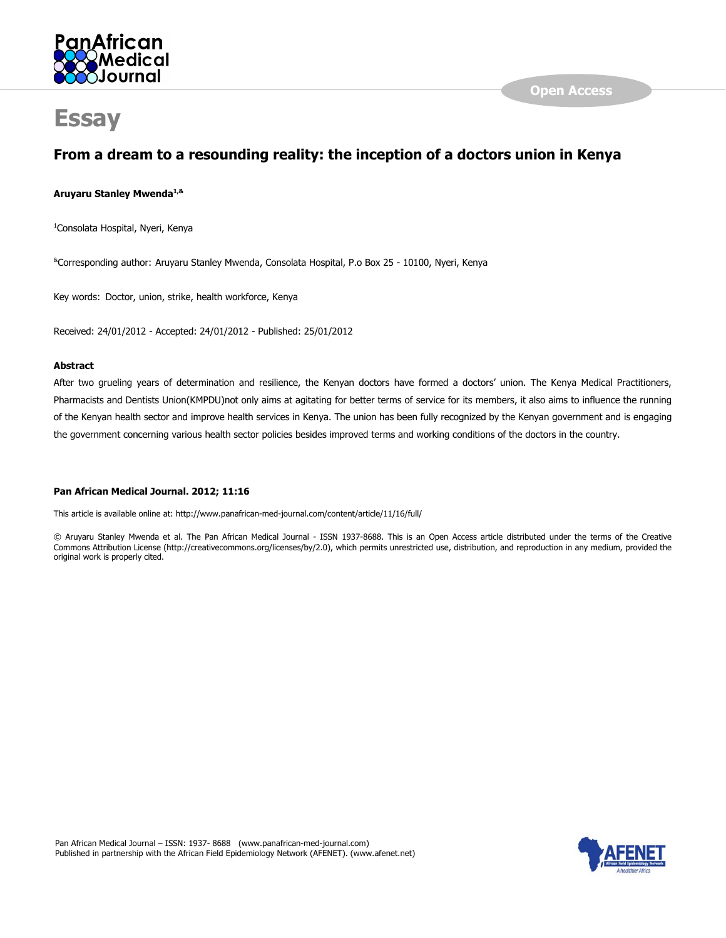

# **Essay**

# From a dream to a resounding reality: the inception of a doctors union in Kenya

# Aruyaru Stanley Mwenda<sup>1,&</sup>

<sup>1</sup>Consolata Hospital, Nyeri, Kenya

&Corresponding author: Aruyaru Stanley Mwenda, Consolata Hospital, P.o Box 25 - 10100, Nyeri, Kenya

Key words: Doctor, union, strike, health workforce, Kenya

Received: 24/01/2012 - Accepted: 24/01/2012 - Published: 25/01/2012

## Abstract

After two grueling years of determination and resilience, the Kenyan doctors have formed a doctors' union. The Kenya Medical Practitioners, Pharmacists and Dentists Union(KMPDU)not only aims at agitating for better terms of service for its members, it also aims to influence the running of the Kenyan health sector and improve health services in Kenya. The union has been fully recognized by the Kenyan government and is engaging the government concerning various health sector policies besides improved terms and working conditions of the doctors in the country.

# Pan African Medical Journal. 2012; 11:16

This article is available online at: http://www.panafrican-med-journal.com/content/article/11/16/full/

© Aruyaru Stanley Mwenda et al. The Pan African Medical Journal - ISSN 1937-8688. This is an Open Access article distributed under the terms of the Creative Commons Attribution License (http://creativecommons.org/licenses/by/2.0), which permits unrestricted use, distribution, and reproduction in any medium, provided the original work is properly cited.

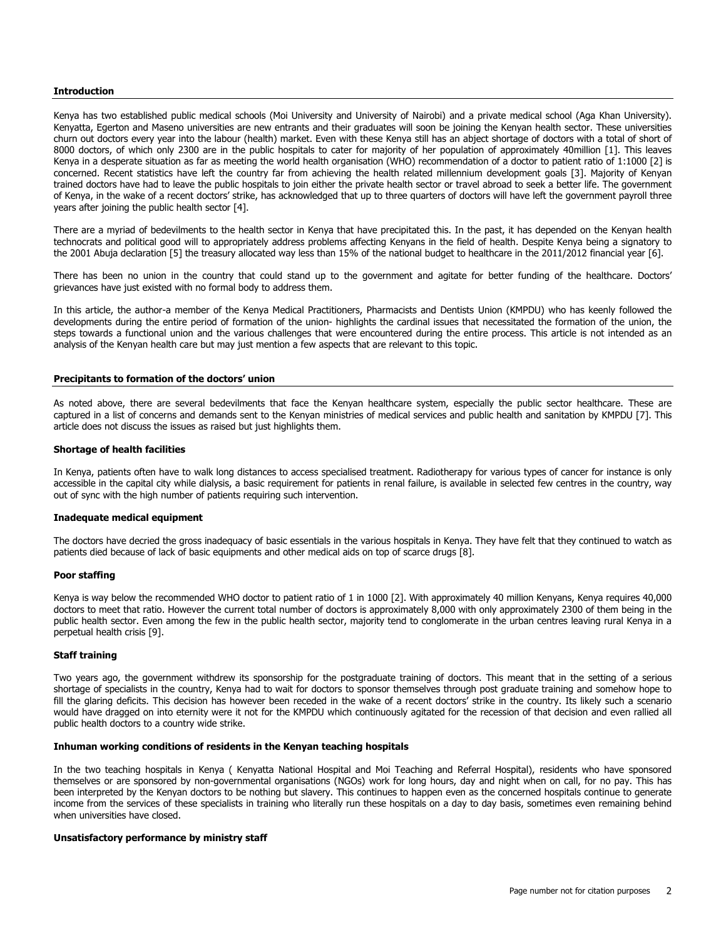#### Introduction

Kenya has two established public medical schools (Moi University and University of Nairobi) and a private medical school (Aga Khan University). Kenyatta, Egerton and Maseno universities are new entrants and their graduates will soon be joining the Kenyan health sector. These universities churn out doctors every year into the labour (health) market. Even with these Kenya still has an abject shortage of doctors with a total of short of 8000 doctors, of which only 2300 are in the public hospitals to cater for majority of her population of approximately 40million [1]. This leaves Kenya in a desperate situation as far as meeting the world health organisation (WHO) recommendation of a doctor to patient ratio of 1:1000 [2] is concerned. Recent statistics have left the country far from achieving the health related millennium development goals [3]. Majority of Kenyan trained doctors have had to leave the public hospitals to join either the private health sector or travel abroad to seek a better life. The government of Kenya, in the wake of a recent doctors' strike, has acknowledged that up to three quarters of doctors will have left the government payroll three years after joining the public health sector [4].

There are a myriad of bedevilments to the health sector in Kenya that have precipitated this. In the past, it has depended on the Kenyan health technocrats and political good will to appropriately address problems affecting Kenyans in the field of health. Despite Kenya being a signatory to the 2001 Abuja declaration [5] the treasury allocated way less than 15% of the national budget to healthcare in the 2011/2012 financial year [6].

There has been no union in the country that could stand up to the government and agitate for better funding of the healthcare. Doctors' grievances have just existed with no formal body to address them.

In this article, the author-a member of the Kenya Medical Practitioners, Pharmacists and Dentists Union (KMPDU) who has keenly followed the developments during the entire period of formation of the union- highlights the cardinal issues that necessitated the formation of the union, the steps towards a functional union and the various challenges that were encountered during the entire process. This article is not intended as an analysis of the Kenyan health care but may just mention a few aspects that are relevant to this topic.

#### Precipitants to formation of the doctors' union

As noted above, there are several bedevilments that face the Kenyan healthcare system, especially the public sector healthcare. These are captured in a list of concerns and demands sent to the Kenyan ministries of medical services and public health and sanitation by KMPDU [7]. This article does not discuss the issues as raised but just highlights them.

#### Shortage of health facilities

In Kenya, patients often have to walk long distances to access specialised treatment. Radiotherapy for various types of cancer for instance is only accessible in the capital city while dialysis, a basic requirement for patients in renal failure, is available in selected few centres in the country, way out of sync with the high number of patients requiring such intervention.

#### Inadequate medical equipment

The doctors have decried the gross inadequacy of basic essentials in the various hospitals in Kenya. They have felt that they continued to watch as patients died because of lack of basic equipments and other medical aids on top of scarce drugs [8].

#### Poor staffing

Kenya is way below the recommended WHO doctor to patient ratio of 1 in 1000 [2]. With approximately 40 million Kenyans, Kenya requires 40,000 doctors to meet that ratio. However the current total number of doctors is approximately 8,000 with only approximately 2300 of them being in the public health sector. Even among the few in the public health sector, majority tend to conglomerate in the urban centres leaving rural Kenya in a perpetual health crisis [9].

#### Staff training

Two years ago, the government withdrew its sponsorship for the postgraduate training of doctors. This meant that in the setting of a serious shortage of specialists in the country, Kenya had to wait for doctors to sponsor themselves through post graduate training and somehow hope to fill the glaring deficits. This decision has however been receded in the wake of a recent doctors' strike in the country. Its likely such a scenario would have dragged on into eternity were it not for the KMPDU which continuously agitated for the recession of that decision and even rallied all public health doctors to a country wide strike.

#### Inhuman working conditions of residents in the Kenyan teaching hospitals

In the two teaching hospitals in Kenya ( Kenyatta National Hospital and Moi Teaching and Referral Hospital), residents who have sponsored themselves or are sponsored by non-governmental organisations (NGOs) work for long hours, day and night when on call, for no pay. This has been interpreted by the Kenyan doctors to be nothing but slavery. This continues to happen even as the concerned hospitals continue to generate income from the services of these specialists in training who literally run these hospitals on a day to day basis, sometimes even remaining behind when universities have closed.

#### Unsatisfactory performance by ministry staff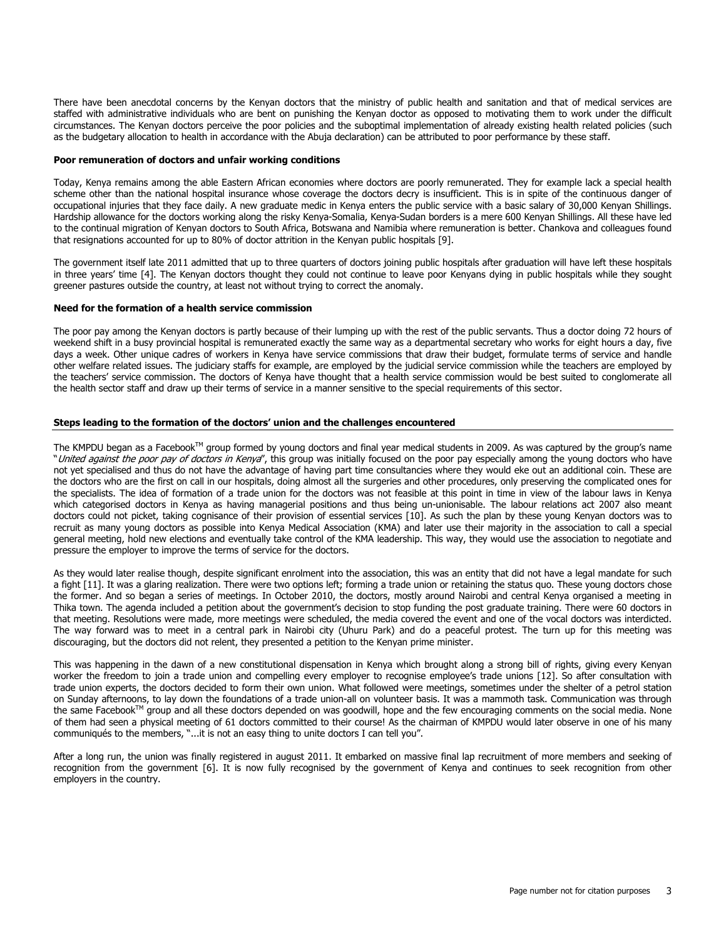There have been anecdotal concerns by the Kenyan doctors that the ministry of public health and sanitation and that of medical services are staffed with administrative individuals who are bent on punishing the Kenyan doctor as opposed to motivating them to work under the difficult circumstances. The Kenyan doctors perceive the poor policies and the suboptimal implementation of already existing health related policies (such as the budgetary allocation to health in accordance with the Abuja declaration) can be attributed to poor performance by these staff.

### Poor remuneration of doctors and unfair working conditions

Today, Kenya remains among the able Eastern African economies where doctors are poorly remunerated. They for example lack a special health scheme other than the national hospital insurance whose coverage the doctors decry is insufficient. This is in spite of the continuous danger of occupational injuries that they face daily. A new graduate medic in Kenya enters the public service with a basic salary of 30,000 Kenyan Shillings. Hardship allowance for the doctors working along the risky Kenya-Somalia, Kenya-Sudan borders is a mere 600 Kenyan Shillings. All these have led to the continual migration of Kenyan doctors to South Africa, Botswana and Namibia where remuneration is better. Chankova and colleagues found that resignations accounted for up to 80% of doctor attrition in the Kenyan public hospitals [9].

The government itself late 2011 admitted that up to three quarters of doctors joining public hospitals after graduation will have left these hospitals in three years' time [4]. The Kenyan doctors thought they could not continue to leave poor Kenyans dying in public hospitals while they sought greener pastures outside the country, at least not without trying to correct the anomaly.

#### Need for the formation of a health service commission

The poor pay among the Kenyan doctors is partly because of their lumping up with the rest of the public servants. Thus a doctor doing 72 hours of weekend shift in a busy provincial hospital is remunerated exactly the same way as a departmental secretary who works for eight hours a day, five days a week. Other unique cadres of workers in Kenya have service commissions that draw their budget, formulate terms of service and handle other welfare related issues. The judiciary staffs for example, are employed by the judicial service commission while the teachers are employed by the teachers' service commission. The doctors of Kenya have thought that a health service commission would be best suited to conglomerate all the health sector staff and draw up their terms of service in a manner sensitive to the special requirements of this sector.

#### Steps leading to the formation of the doctors' union and the challenges encountered

The KMPDU began as a Facebook<sup>TM</sup> group formed by young doctors and final year medical students in 2009. As was captured by the group's name "United against the poor pay of doctors in Kenya", this group was initially focused on the poor pay especially among the young doctors who have not yet specialised and thus do not have the advantage of having part time consultancies where they would eke out an additional coin. These are the doctors who are the first on call in our hospitals, doing almost all the surgeries and other procedures, only preserving the complicated ones for the specialists. The idea of formation of a trade union for the doctors was not feasible at this point in time in view of the labour laws in Kenya which categorised doctors in Kenya as having managerial positions and thus being un-unionisable. The labour relations act 2007 also meant doctors could not picket, taking cognisance of their provision of essential services [10]. As such the plan by these young Kenyan doctors was to recruit as many young doctors as possible into Kenya Medical Association (KMA) and later use their majority in the association to call a special general meeting, hold new elections and eventually take control of the KMA leadership. This way, they would use the association to negotiate and pressure the employer to improve the terms of service for the doctors.

As they would later realise though, despite significant enrolment into the association, this was an entity that did not have a legal mandate for such a fight [11]. It was a glaring realization. There were two options left; forming a trade union or retaining the status quo. These young doctors chose the former. And so began a series of meetings. In October 2010, the doctors, mostly around Nairobi and central Kenya organised a meeting in Thika town. The agenda included a petition about the government's decision to stop funding the post graduate training. There were 60 doctors in that meeting. Resolutions were made, more meetings were scheduled, the media covered the event and one of the vocal doctors was interdicted. The way forward was to meet in a central park in Nairobi city (Uhuru Park) and do a peaceful protest. The turn up for this meeting was discouraging, but the doctors did not relent, they presented a petition to the Kenyan prime minister.

This was happening in the dawn of a new constitutional dispensation in Kenya which brought along a strong bill of rights, giving every Kenyan worker the freedom to join a trade union and compelling every employer to recognise employee's trade unions [12]. So after consultation with trade union experts, the doctors decided to form their own union. What followed were meetings, sometimes under the shelter of a petrol station on Sunday afternoons, to lay down the foundations of a trade union-all on volunteer basis. It was a mammoth task. Communication was through the same Facebook™ group and all these doctors depended on was goodwill, hope and the few encouraging comments on the social media. None of them had seen a physical meeting of 61 doctors committed to their course! As the chairman of KMPDU would later observe in one of his many communiqués to the members, "...it is not an easy thing to unite doctors I can tell you".

After a long run, the union was finally registered in august 2011. It embarked on massive final lap recruitment of more members and seeking of recognition from the government [6]. It is now fully recognised by the government of Kenya and continues to seek recognition from other employers in the country.